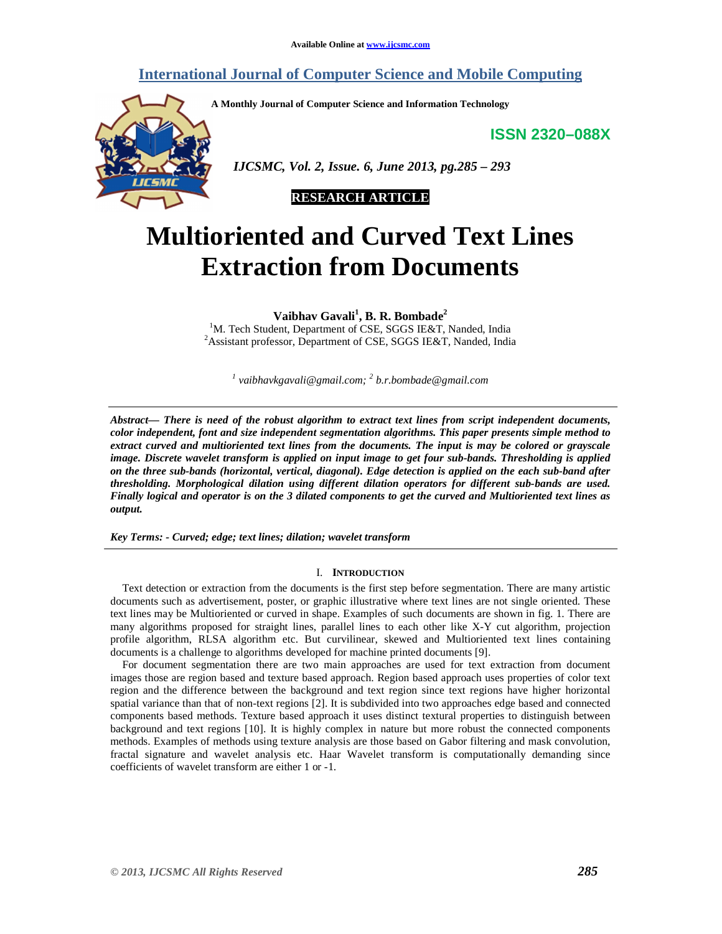# **International Journal of Computer Science and Mobile Computing**

**A Monthly Journal of Computer Science and Information Technology** 

**ISSN 2320–088X**



 *IJCSMC, Vol. 2, Issue. 6, June 2013, pg.285 – 293* 



# **Multioriented and Curved Text Lines Extraction from Documents**

**Vaibhav Gavali<sup>1</sup> , B. R. Bombade<sup>2</sup>**

<sup>1</sup>M. Tech Student, Department of CSE, SGGS IE&T, Nanded, India <sup>2</sup> Assistant professor, Department of CSE, SGGS IE&T, Nanded, India

*1 vaibhavkgavali@gmail.com; <sup>2</sup> b.r.bombade@gmail.com* 

*Abstract— There is need of the robust algorithm to extract text lines from script independent documents, color independent, font and size independent segmentation algorithms. This paper presents simple method to extract curved and multioriented text lines from the documents. The input is may be colored or grayscale image. Discrete wavelet transform is applied on input image to get four sub-bands. Thresholding is applied on the three sub-bands (horizontal, vertical, diagonal). Edge detection is applied on the each sub-band after thresholding. Morphological dilation using different dilation operators for different sub-bands are used. Finally logical and operator is on the 3 dilated components to get the curved and Multioriented text lines as output.* 

*Key Terms: - Curved; edge; text lines; dilation; wavelet transform* 

## I. **INTRODUCTION**

Text detection or extraction from the documents is the first step before segmentation. There are many artistic documents such as advertisement, poster, or graphic illustrative where text lines are not single oriented. These text lines may be Multioriented or curved in shape. Examples of such documents are shown in fig. 1. There are many algorithms proposed for straight lines, parallel lines to each other like X-Y cut algorithm, projection profile algorithm, RLSA algorithm etc. But curvilinear, skewed and Multioriented text lines containing documents is a challenge to algorithms developed for machine printed documents [9].

For document segmentation there are two main approaches are used for text extraction from document images those are region based and texture based approach. Region based approach uses properties of color text region and the difference between the background and text region since text regions have higher horizontal spatial variance than that of non-text regions [2]. It is subdivided into two approaches edge based and connected components based methods. Texture based approach it uses distinct textural properties to distinguish between background and text regions [10]. It is highly complex in nature but more robust the connected components methods. Examples of methods using texture analysis are those based on Gabor filtering and mask convolution, fractal signature and wavelet analysis etc. Haar Wavelet transform is computationally demanding since coefficients of wavelet transform are either 1 or -1.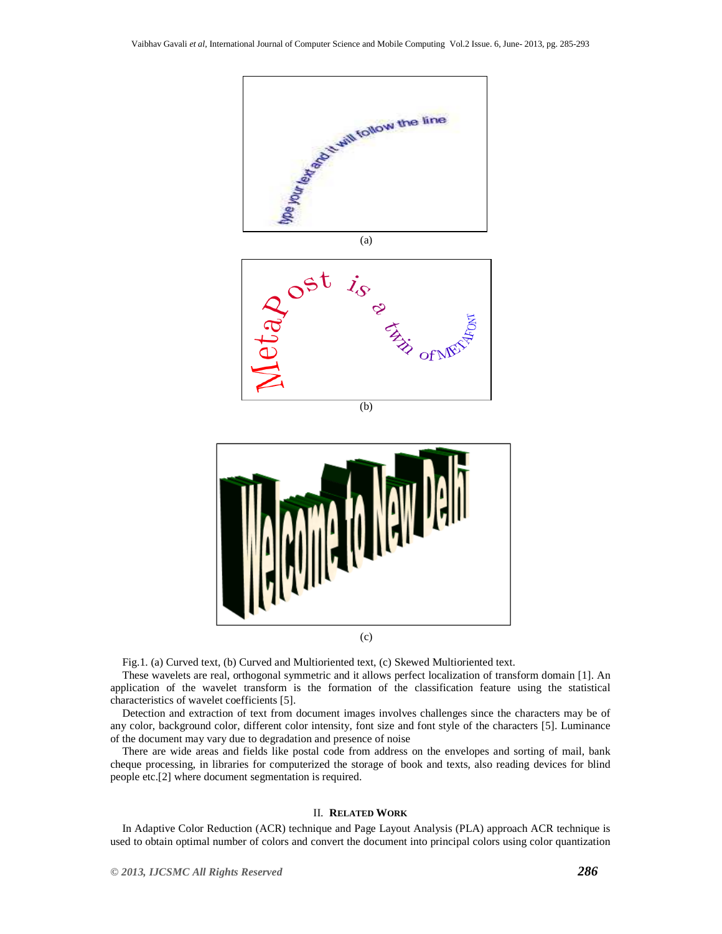



(c)

Fig.1. (a) Curved text, (b) Curved and Multioriented text, (c) Skewed Multioriented text.

These wavelets are real, orthogonal symmetric and it allows perfect localization of transform domain [1]. An application of the wavelet transform is the formation of the classification feature using the statistical characteristics of wavelet coefficients [5].

Detection and extraction of text from document images involves challenges since the characters may be of any color, background color, different color intensity, font size and font style of the characters [5]. Luminance of the document may vary due to degradation and presence of noise

There are wide areas and fields like postal code from address on the envelopes and sorting of mail, bank cheque processing, in libraries for computerized the storage of book and texts, also reading devices for blind people etc.[2] where document segmentation is required.

#### II. **RELATED WORK**

In Adaptive Color Reduction (ACR) technique and Page Layout Analysis (PLA) approach ACR technique is used to obtain optimal number of colors and convert the document into principal colors using color quantization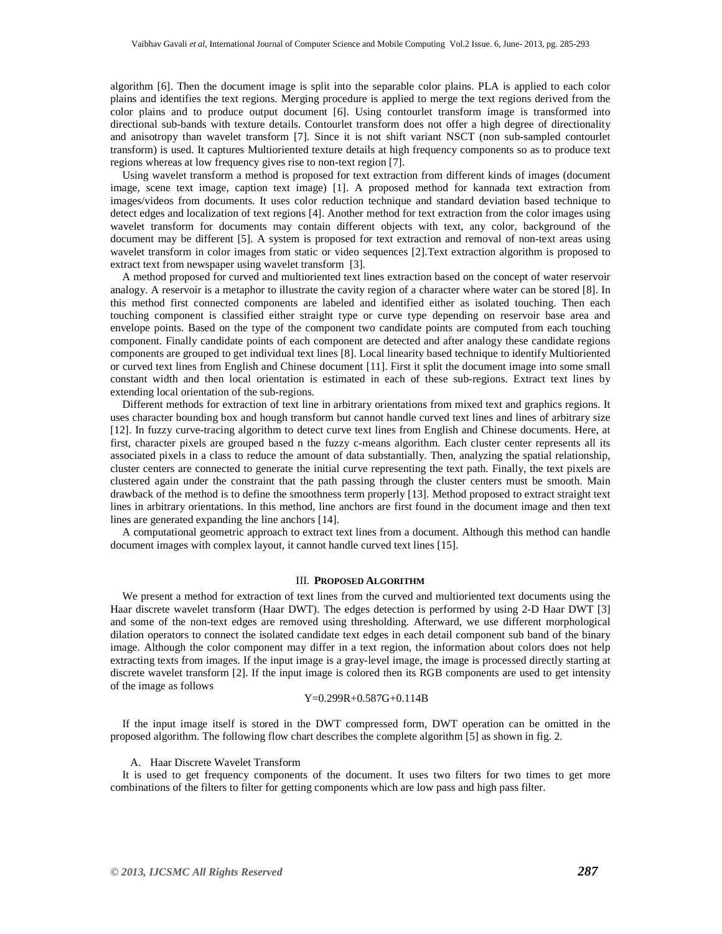algorithm [6]. Then the document image is split into the separable color plains. PLA is applied to each color plains and identifies the text regions. Merging procedure is applied to merge the text regions derived from the color plains and to produce output document [6]. Using contourlet transform image is transformed into directional sub-bands with texture details. Contourlet transform does not offer a high degree of directionality and anisotropy than wavelet transform [7]. Since it is not shift variant NSCT (non sub-sampled contourlet transform) is used. It captures Multioriented texture details at high frequency components so as to produce text regions whereas at low frequency gives rise to non-text region [7].

Using wavelet transform a method is proposed for text extraction from different kinds of images (document image, scene text image, caption text image) [1]. A proposed method for kannada text extraction from images/videos from documents. It uses color reduction technique and standard deviation based technique to detect edges and localization of text regions [4]. Another method for text extraction from the color images using wavelet transform for documents may contain different objects with text, any color, background of the document may be different [5]. A system is proposed for text extraction and removal of non-text areas using wavelet transform in color images from static or video sequences [2].Text extraction algorithm is proposed to extract text from newspaper using wavelet transform [3].

A method proposed for curved and multioriented text lines extraction based on the concept of water reservoir analogy. A reservoir is a metaphor to illustrate the cavity region of a character where water can be stored [8]. In this method first connected components are labeled and identified either as isolated touching. Then each touching component is classified either straight type or curve type depending on reservoir base area and envelope points. Based on the type of the component two candidate points are computed from each touching component. Finally candidate points of each component are detected and after analogy these candidate regions components are grouped to get individual text lines [8]. Local linearity based technique to identify Multioriented or curved text lines from English and Chinese document [11]. First it split the document image into some small constant width and then local orientation is estimated in each of these sub-regions. Extract text lines by extending local orientation of the sub-regions.

Different methods for extraction of text line in arbitrary orientations from mixed text and graphics regions. It uses character bounding box and hough transform but cannot handle curved text lines and lines of arbitrary size [12]. In fuzzy curve-tracing algorithm to detect curve text lines from English and Chinese documents. Here, at first, character pixels are grouped based n the fuzzy c-means algorithm. Each cluster center represents all its associated pixels in a class to reduce the amount of data substantially. Then, analyzing the spatial relationship, cluster centers are connected to generate the initial curve representing the text path. Finally, the text pixels are clustered again under the constraint that the path passing through the cluster centers must be smooth. Main drawback of the method is to define the smoothness term properly [13]. Method proposed to extract straight text lines in arbitrary orientations. In this method, line anchors are first found in the document image and then text lines are generated expanding the line anchors [14].

A computational geometric approach to extract text lines from a document. Although this method can handle document images with complex layout, it cannot handle curved text lines [15].

#### III. **PROPOSED ALGORITHM**

We present a method for extraction of text lines from the curved and multioriented text documents using the Haar discrete wavelet transform (Haar DWT). The edges detection is performed by using 2-D Haar DWT [3] and some of the non-text edges are removed using thresholding. Afterward, we use different morphological dilation operators to connect the isolated candidate text edges in each detail component sub band of the binary image. Although the color component may differ in a text region, the information about colors does not help extracting texts from images. If the input image is a gray-level image, the image is processed directly starting at discrete wavelet transform [2]. If the input image is colored then its RGB components are used to get intensity of the image as follows

# Y=0.299R+0.587G+0.114B

If the input image itself is stored in the DWT compressed form, DWT operation can be omitted in the proposed algorithm. The following flow chart describes the complete algorithm [5] as shown in fig. 2.

#### A. Haar Discrete Wavelet Transform

It is used to get frequency components of the document. It uses two filters for two times to get more combinations of the filters to filter for getting components which are low pass and high pass filter.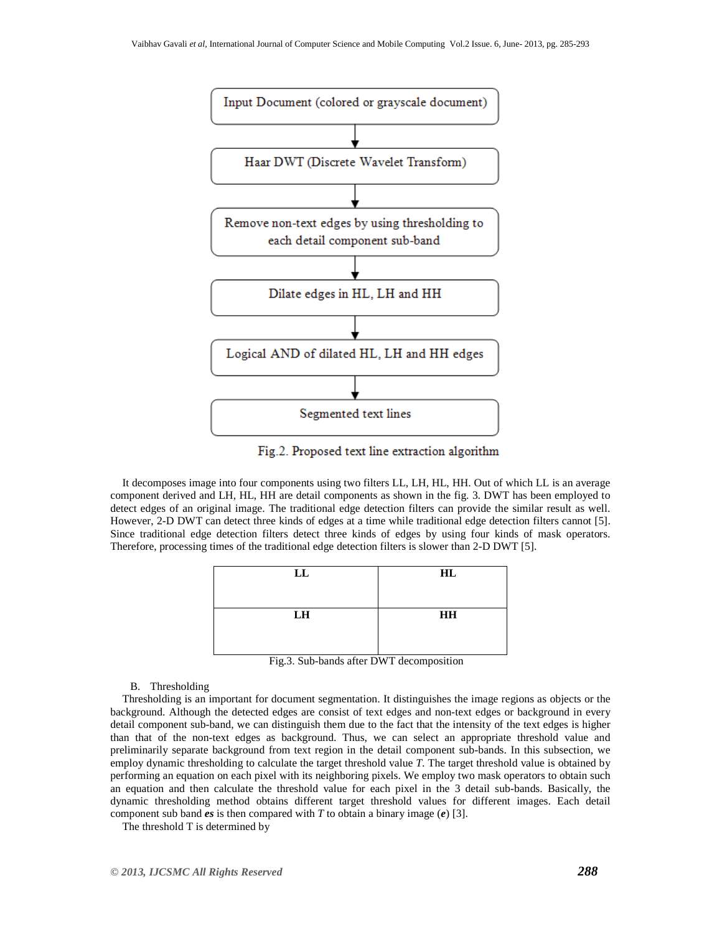

Fig.2. Proposed text line extraction algorithm

It decomposes image into four components using two filters LL, LH, HL, HH. Out of which LL is an average component derived and LH, HL, HH are detail components as shown in the fig. 3. DWT has been employed to detect edges of an original image. The traditional edge detection filters can provide the similar result as well. However, 2-D DWT can detect three kinds of edges at a time while traditional edge detection filters cannot [5]. Since traditional edge detection filters detect three kinds of edges by using four kinds of mask operators. Therefore, processing times of the traditional edge detection filters is slower than 2-D DWT [5].

| LL | HL |  |
|----|----|--|
|    |    |  |
| LH | HH |  |
|    |    |  |
|    |    |  |

Fig.3. Sub-bands after DWT decomposition

# B. Thresholding

Thresholding is an important for document segmentation. It distinguishes the image regions as objects or the background. Although the detected edges are consist of text edges and non-text edges or background in every detail component sub-band, we can distinguish them due to the fact that the intensity of the text edges is higher than that of the non-text edges as background. Thus, we can select an appropriate threshold value and preliminarily separate background from text region in the detail component sub-bands. In this subsection, we employ dynamic thresholding to calculate the target threshold value *T*. The target threshold value is obtained by performing an equation on each pixel with its neighboring pixels. We employ two mask operators to obtain such an equation and then calculate the threshold value for each pixel in the 3 detail sub-bands. Basically, the dynamic thresholding method obtains different target threshold values for different images. Each detail component sub band *es* is then compared with *T* to obtain a binary image (*e*) [3].

The threshold T is determined by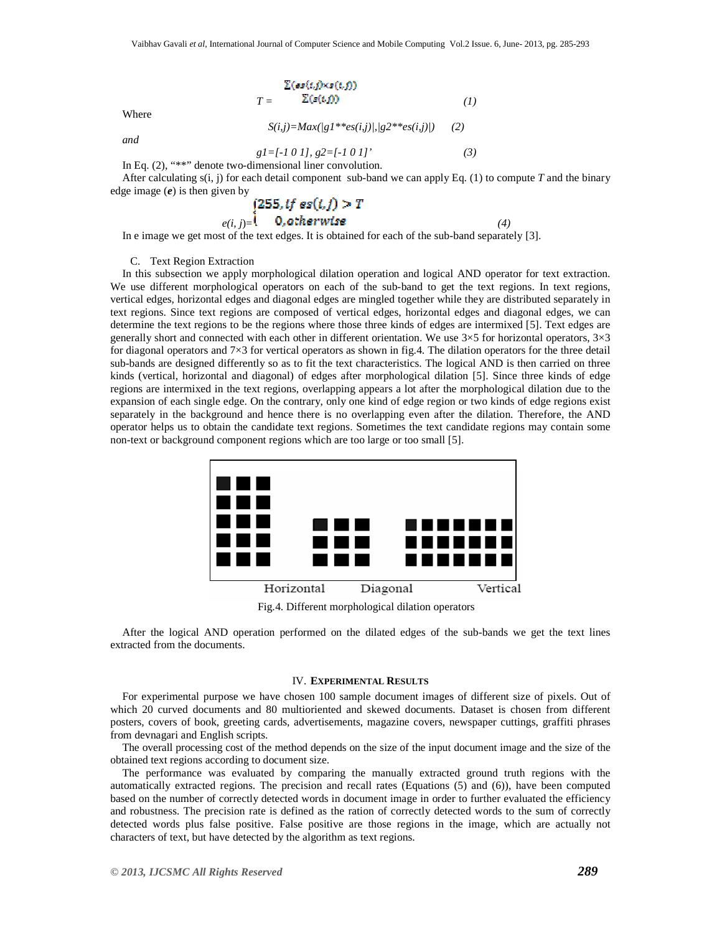$$
T = \sum (s s(i,j) \times s(i,j))
$$
  
\n
$$
T = \sum (s(i,j))
$$
 (1)

Where

$$
S(i,j) = Max(|g1^{**}es(i,j)|, |g2^{**}es(i,j)|) \qquad (2)
$$

*and* 

$$
gl=[-1 0 1], g2=[-1 0 1]'
$$
\nIn Eq. (2), "\*\*" denote two-dimensional linear convolution. (3)

After calculating s(i, j) for each detail component sub-band we can apply Eq. (1) to compute *T* and the binary edge image (*e*) is then given by

$$
\begin{array}{c}\n\text{(255, if es(t,j) > T)}\\
e(i,j)=\n\end{array} \n\tag{4}
$$

In e image we get most of the text edges. It is obtained for each of the sub-band separately [3].

#### C. Text Region Extraction

In this subsection we apply morphological dilation operation and logical AND operator for text extraction. We use different morphological operators on each of the sub-band to get the text regions. In text regions, vertical edges, horizontal edges and diagonal edges are mingled together while they are distributed separately in text regions. Since text regions are composed of vertical edges, horizontal edges and diagonal edges, we can determine the text regions to be the regions where those three kinds of edges are intermixed [5]. Text edges are generally short and connected with each other in different orientation. We use 3×5 for horizontal operators, 3×3 for diagonal operators and 7×3 for vertical operators as shown in fig.4. The dilation operators for the three detail sub-bands are designed differently so as to fit the text characteristics. The logical AND is then carried on three kinds (vertical, horizontal and diagonal) of edges after morphological dilation [5]. Since three kinds of edge regions are intermixed in the text regions, overlapping appears a lot after the morphological dilation due to the expansion of each single edge. On the contrary, only one kind of edge region or two kinds of edge regions exist separately in the background and hence there is no overlapping even after the dilation. Therefore, the AND operator helps us to obtain the candidate text regions. Sometimes the text candidate regions may contain some non-text or background component regions which are too large or too small [5].



Fig.4. Different morphological dilation operators

After the logical AND operation performed on the dilated edges of the sub-bands we get the text lines extracted from the documents.

#### IV. **EXPERIMENTAL RESULTS**

For experimental purpose we have chosen 100 sample document images of different size of pixels. Out of which 20 curved documents and 80 multioriented and skewed documents. Dataset is chosen from different posters, covers of book, greeting cards, advertisements, magazine covers, newspaper cuttings, graffiti phrases from devnagari and English scripts.

The overall processing cost of the method depends on the size of the input document image and the size of the obtained text regions according to document size.

The performance was evaluated by comparing the manually extracted ground truth regions with the automatically extracted regions. The precision and recall rates (Equations (5) and (6)), have been computed based on the number of correctly detected words in document image in order to further evaluated the efficiency and robustness. The precision rate is defined as the ration of correctly detected words to the sum of correctly detected words plus false positive. False positive are those regions in the image, which are actually not characters of text, but have detected by the algorithm as text regions.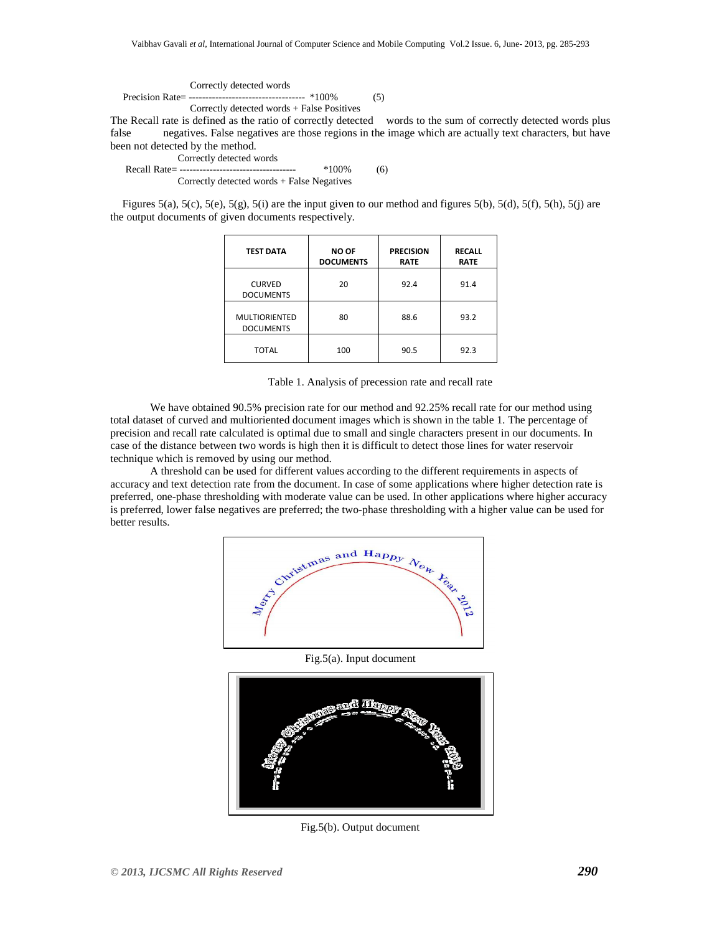Correctly detected words Precision Rate= ----------------------------------- \*100% (5) Correctly detected words + False Positives

The Recall rate is defined as the ratio of correctly detected words to the sum of correctly detected words plus false negatives. False negatives are those regions in the image which are actually text characters, but have been not detected by the method.

Correctly detected words

 Recall Rate= ----------------------------------- \*100% (6) Correctly detected words + False Negatives

Figures 5(a), 5(c), 5(e), 5(g), 5(i) are the input given to our method and figures 5(b), 5(d), 5(f), 5(h), 5(j) are the output documents of given documents respectively.

| <b>TEST DATA</b>                         | <b>NO OF</b><br><b>DOCUMENTS</b> | <b>PRECISION</b><br><b>RATE</b> | <b>RECALL</b><br><b>RATE</b> |
|------------------------------------------|----------------------------------|---------------------------------|------------------------------|
| <b>CURVED</b><br><b>DOCUMENTS</b>        | 20                               | 92.4                            | 91.4                         |
| <b>MULTIORIENTED</b><br><b>DOCUMENTS</b> | 80                               | 88.6                            | 93.2                         |
| <b>TOTAL</b>                             | 100                              | 90.5                            | 92.3                         |

Table 1. Analysis of precession rate and recall rate

We have obtained 90.5% precision rate for our method and 92.25% recall rate for our method using total dataset of curved and multioriented document images which is shown in the table 1. The percentage of precision and recall rate calculated is optimal due to small and single characters present in our documents. In case of the distance between two words is high then it is difficult to detect those lines for water reservoir technique which is removed by using our method.

A threshold can be used for different values according to the different requirements in aspects of accuracy and text detection rate from the document. In case of some applications where higher detection rate is preferred, one-phase thresholding with moderate value can be used. In other applications where higher accuracy is preferred, lower false negatives are preferred; the two-phase thresholding with a higher value can be used for better results.



Fig.5(a). Input document



Fig.5(b). Output document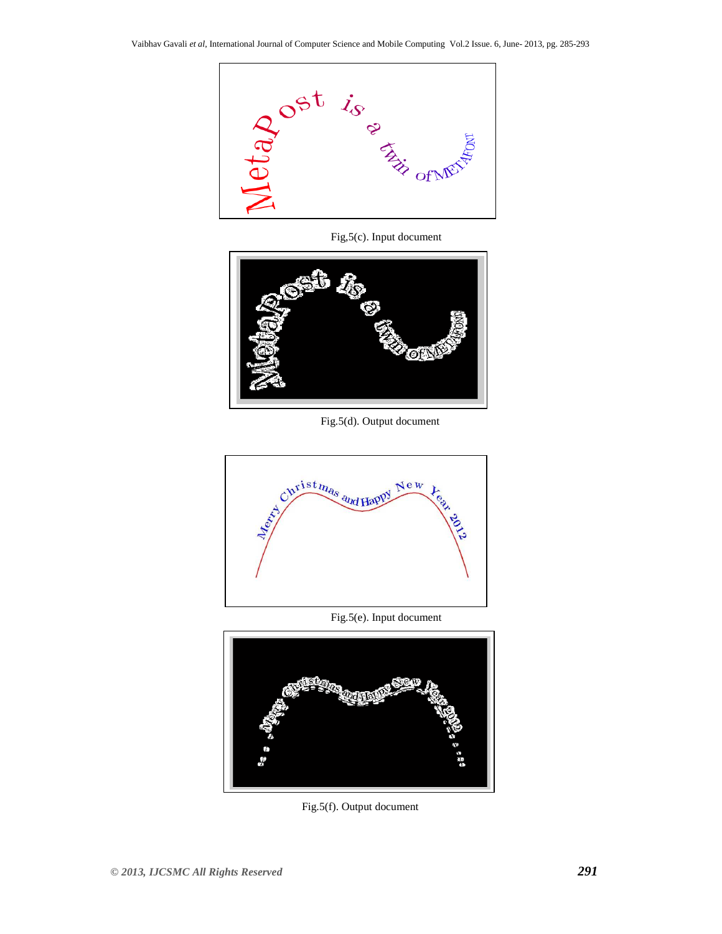

Fig,5(c). Input document



Fig.5(d). Output document



Fig.5(e). Input document



Fig.5(f). Output document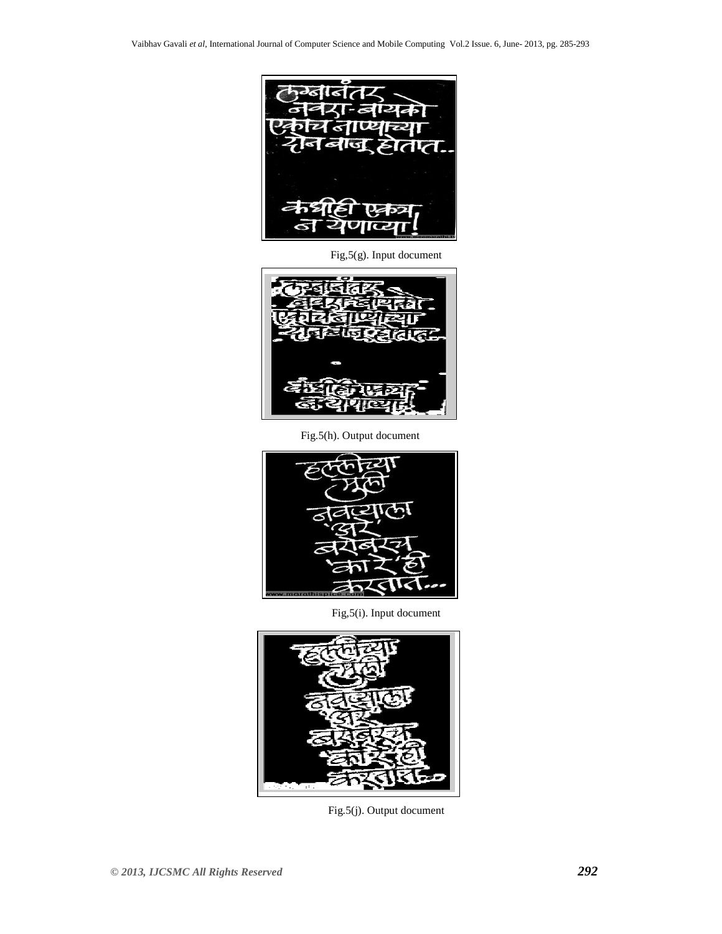

Fig,5(g). Input document



Fig.5(h). Output document



Fig,5(i). Input document



Fig.5(j). Output document